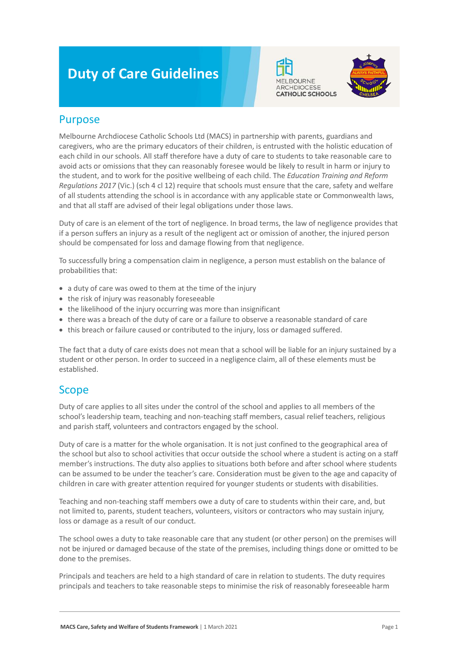# **Duty of Care Guidelines**





#### Purpose

Melbourne Archdiocese Catholic Schools Ltd (MACS) in partnership with parents, guardians and caregivers, who are the primary educators of their children, is entrusted with the holistic education of each child in our schools. All staff therefore have a duty of care to students to take reasonable care to avoid acts or omissions that they can reasonably foresee would be likely to result in harm or injury to the student, and to work for the positive wellbeing of each child. The *Education Training and Reform Regulations 2017* (Vic.) (sch 4 cl 12) require that schools must ensure that the care, safety and welfare of all students attending the school is in accordance with any applicable state or Commonwealth laws, and that all staff are advised of their legal obligations under those laws.

Duty of care is an element of the tort of negligence. In broad terms, the law of negligence provides that if a person suffers an injury as a result of the negligent act or omission of another, the injured person should be compensated for loss and damage flowing from that negligence.

To successfully bring a compensation claim in negligence, a person must establish on the balance of probabilities that:

- a duty of care was owed to them at the time of the injury
- the risk of injury was reasonably foreseeable
- the likelihood of the injury occurring was more than insignificant
- there was a breach of the duty of care or a failure to observe a reasonable standard of care
- this breach or failure caused or contributed to the injury, loss or damaged suffered.

The fact that a duty of care exists does not mean that a school will be liable for an injury sustained by a student or other person. In order to succeed in a negligence claim, all of these elements must be established.

#### Scope

Duty of care applies to all sites under the control of the school and applies to all members of the school's leadership team, teaching and non-teaching staff members, casual relief teachers, religious and parish staff, volunteers and contractors engaged by the school.

Duty of care is a matter for the whole organisation. It is not just confined to the geographical area of the school but also to school activities that occur outside the school where a student is acting on a staff member's instructions. The duty also applies to situations both before and after school where students can be assumed to be under the teacher's care. Consideration must be given to the age and capacity of children in care with greater attention required for younger students or students with disabilities.

Teaching and non-teaching staff members owe a duty of care to students within their care, and, but not limited to, parents, student teachers, volunteers, visitors or contractors who may sustain injury, loss or damage as a result of our conduct.

The school owes a duty to take reasonable care that any student (or other person) on the premises will not be injured or damaged because of the state of the premises, including things done or omitted to be done to the premises.

Principals and teachers are held to a high standard of care in relation to students. The duty requires principals and teachers to take reasonable steps to minimise the risk of reasonably foreseeable harm